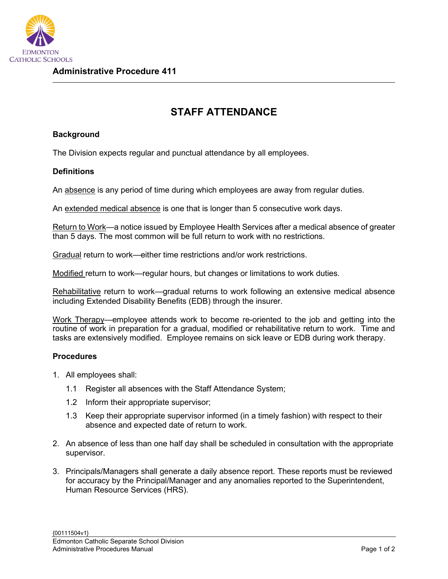

## **STAFF ATTENDANCE**

## **Background**

The Division expects regular and punctual attendance by all employees.

## **Definitions**

An absence is any period of time during which employees are away from regular duties.

An extended medical absence is one that is longer than 5 consecutive work days.

Return to Work—a notice issued by Employee Health Services after a medical absence of greater than 5 days. The most common will be full return to work with no restrictions.

Gradual return to work—either time restrictions and/or work restrictions.

Modified return to work—regular hours, but changes or limitations to work duties.

Rehabilitative return to work—gradual returns to work following an extensive medical absence including Extended Disability Benefits (EDB) through the insurer.

Work Therapy—employee attends work to become re-oriented to the job and getting into the routine of work in preparation for a gradual, modified or rehabilitative return to work. Time and tasks are extensively modified. Employee remains on sick leave or EDB during work therapy.

## **Procedures**

- 1. All employees shall:
	- 1.1 Register all absences with the Staff Attendance System;
	- 1.2 Inform their appropriate supervisor;
	- 1.3 Keep their appropriate supervisor informed (in a timely fashion) with respect to their absence and expected date of return to work.
- 2. An absence of less than one half day shall be scheduled in consultation with the appropriate supervisor.
- 3. Principals/Managers shall generate a daily absence report. These reports must be reviewed for accuracy by the Principal/Manager and any anomalies reported to the Superintendent, Human Resource Services (HRS).